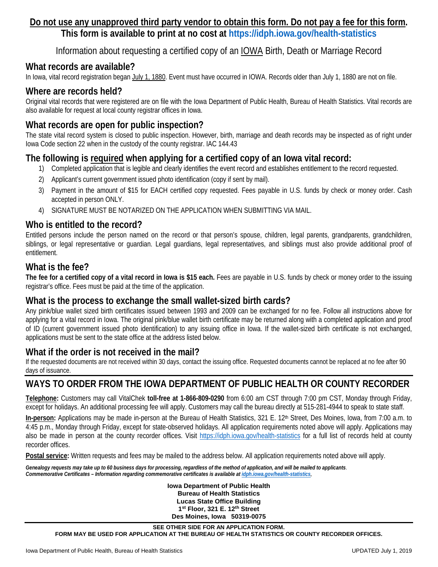# **Do not use any unapproved third party vendor to obtain this form. Do not pay a fee for this form.**

**This form is available to print at no cost at <https://idph.iowa.gov/health-statistics>**

Information about requesting a certified copy of an IOWA Birth, Death or Marriage Record

#### **What records are available?**

In Iowa, vital record registration began July 1, 1880. Event must have occurred in IOWA. Records older than July 1, 1880 are not on file.

#### **Where are records held?**

Original vital records that were registered are on file with the Iowa Department of Public Health, Bureau of Health Statistics. Vital records are also available for request at local county registrar offices in Iowa.

# **What records are open for public inspection?**

The state vital record system is closed to public inspection. However, birth, marriage and death records may be inspected as of right under Iowa Code section 22 when in the custody of the county registrar. IAC 144.43

# **The following is required when applying for a certified copy of an Iowa vital record:**

- 1) Completed application that is legible and clearly identifies the event record and establishes entitlement to the record requested.
- 2) Applicant's current government issued photo identification (copy if sent by mail).
- 3) Payment in the amount of \$15 for EACH certified copy requested. Fees payable in U.S. funds by check or money order. Cash accepted in person ONLY.
- 4) SIGNATURE MUST BE NOTARIZED ON THE APPLICATION WHEN SUBMITTING VIA MAIL.

#### **Who is entitled to the record?**

Entitled persons include the person named on the record or that person's spouse, children, legal parents, grandparents, grandchildren, siblings, or legal representative or guardian. Legal guardians, legal representatives, and siblings must also provide additional proof of entitlement.

#### **What is the fee?**

**The fee for a certified copy of a vital record in Iowa is \$15 each.** Fees are payable in U.S. funds by check or money order to the issuing registrar's office. Fees must be paid at the time of the application.

#### **What is the process to exchange the small wallet-sized birth cards?**

Any pink/blue wallet sized birth certificates issued between 1993 and 2009 can be exchanged for no fee. Follow all instructions above for applying for a vital record in Iowa. The original pink/blue wallet birth certificate may be returned along with a completed application and proof of ID (current government issued photo identification) to any issuing office in Iowa. If the wallet-sized birth certificate is not exchanged, applications must be sent to the state office at the address listed below.

## **What if the order is not received in the mail?**

If the requested documents are not received within 30 days, contact the issuing office. Requested documents cannot be replaced at no fee after 90 days of issuance.

## **WAYS TO ORDER FROM THE IOWA DEPARTMENT OF PUBLIC HEALTH OR COUNTY RECORDER**

**Telephone:** Customers may call VitalChek **toll-free at 1-866-809-0290** from 6:00 am CST through 7:00 pm CST, Monday through Friday, except for holidays. An additional processing fee will apply. Customers may call the bureau directly at 515-281-4944 to speak to state staff.

In-person: Applications may be made in-person at the Bureau of Health Statistics, 321 E. 12<sup>th</sup> Street, Des Moines, Iowa, from 7:00 a.m. to 4:45 p.m., Monday through Friday, except for state-observed holidays. All application requirements noted above will apply. Applications may also be made in person at the county recorder offices. Visit <https://idph.iowa.gov/health-statistics> for a full list of records held at county recorder offices.

**Postal service:** Written requests and fees may be mailed to the address below. All application requirements noted above will apply.

*Genealogy requests may take up to 60 business days for processing, regardless of the method of application, and will be mailed to applicants*. *Commemorative Certificates – Information regarding commemorative certificates is available at [idph.iowa.gov/health-statistics](https://idph.iowa.gov/health-statistics).*

> **Iowa Department of Public Health Bureau of Health Statistics Lucas State Office Building 1st Floor, 321 E. 12th Street Des Moines, Iowa 50319-0075**

**SEE OTHER SIDE FOR AN APPLICATION FORM. FORM MAY BE USED FOR APPLICATION AT THE BUREAU OF HEALTH STATISTICS OR COUNTY RECORDER OFFICES.**